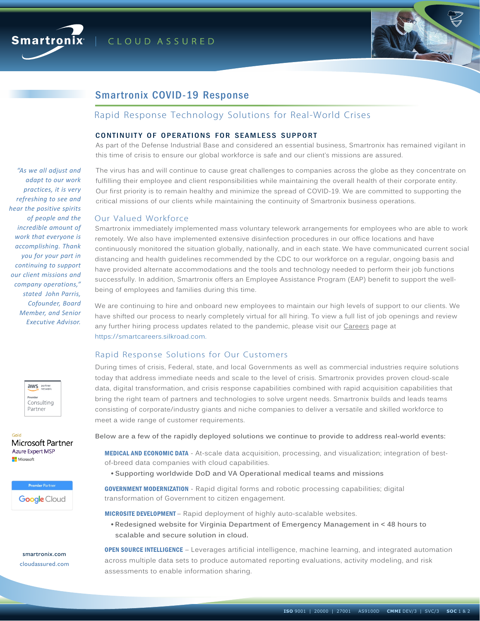



# Smartronix COVID-19 Response

# Rapid Response Technology Solutions for Real-World Crises

#### CONTINUITY OF OPERATIONS FOR SEAMLESS SUPPORT

As part of the Defense Industrial Base and considered an essential business, Smartronix has remained vigilant in this time of crisis to ensure our global workforce is safe and our client's missions are assured.

The virus has and will continue to cause great challenges to companies across the globe as they concentrate on fulfilling their employee and client responsibilities while maintaining the overall health of their corporate entity. Our first priority is to remain healthy and minimize the spread of COVID-19. We are committed to supporting the critical missions of our clients while maintaining the continuity of Smartronix business operations.

#### Our Valued Workforce

Smartronix immediately implemented mass voluntary telework arrangements for employees who are able to work remotely. We also have implemented extensive disinfection procedures in our office locations and have continuously monitored the situation globally, nationally, and in each state. We have communicated current social distancing and health guidelines recommended by the CDC to our workforce on a regular, ongoing basis and have provided alternate accommodations and the tools and technology needed to perform their job functions successfully. In addition, Smartronix offers an Employee Assistance Program (EAP) benefit to support the wellbeing of employees and families during this time.

We are continuing to hire and onboard new employees to maintain our high levels of support to our clients. We have shifted our process to nearly completely virtual for all hiring. To view a full list of job openings and review any further hiring process updates related to the pandemic, please visit our Careers page at https://smartcareers.silkroad.com.

#### Rapid Response Solutions for Our Customers

During times of crisis, Federal, state, and local Governments as well as commercial industries require solutions today that address immediate needs and scale to the level of crisis. Smartronix provides proven cloud-scale data, digital transformation, and crisis response capabilities combined with rapid acquisition capabilities that bring the right team of partners and technologies to solve urgent needs. Smartronix builds and leads teams consisting of corporate/industry giants and niche companies to deliver a versatile and skilled workforce to meet a wide range of customer requirements.

**Below are a few of the rapidly deployed solutions we continue to provide to address real-world events:**

MEDICAL AND ECONOMIC DATA - At-scale data acquisition, processing, and visualization; integration of bestof-breed data companies with cloud capabilities.

! **Supporting worldwide DoD and VA Operational medical teams and missions**

GOVERNMENT MODERNIZATION - Rapid digital forms and robotic processing capabilities; digital transformation of Government to citizen engagement.

**MICROSITE DEVELOPMENT** – Rapid deployment of highly auto-scalable websites.

! **Redesigned website for Virginia Department of Emergency Management in < 48 hours to scalable and secure solution in cloud.** 

OPEN SOURCE INTELLIGENCE – Leverages artificial intelligence, machine learning, and integrated automation across multiple data sets to produce automated reporting evaluations, activity modeling, and risk assessments to enable information sharing.

*"As we all adjust and adapt to our work practices, it is very refreshing to see and hear the positive spirits of people and the incredible amount of work that everyone is accomplishing. Thank you for your part in continuing to support our client missions and company operations," stated John Parris, Cofounder, Board Member, and Senior Executive Advisor.*



Gold Microsoft Partner **Azure Expert MSP** Microsoft

> **Premier Partne Google** Cloud

smartronix.com cloudassured.com